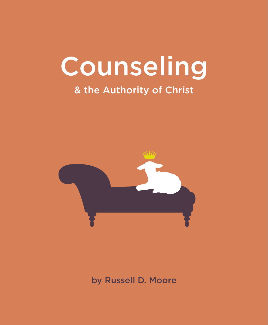



by Russell D. Moore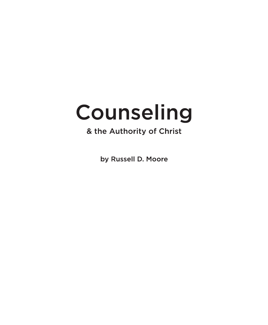# Counseling

## & the Authority of Christ

by Russell D. Moore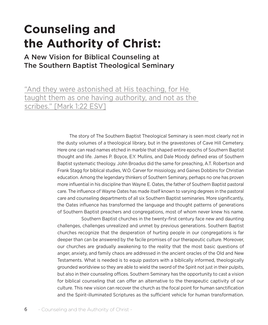## **Counseling and the Authority of Christ:**

### A New Vision for Biblical Counseling at The Southern Baptist Theological Seminary

"And they were astonished at His teaching, for He taught them as one having authority, and not as the scribes." [Mark 1:22 ESV]

> The story of The Southern Baptist Theological Seminary is seen most clearly not in the dusty volumes of a theological library, but in the gravestones of Cave Hill Cemetery. Here one can read names etched in marble that shaped entire epochs of Southern Baptist thought and life. James P. Boyce, E.Y. Mullins, and Dale Moody defined eras of Southern Baptist systematic theology. John Broadus did the same for preaching, A.T. Robertson and Frank Stagg for biblical studies, W.O. Carver for missiology, and Gaines Dobbins for Christian education. Among the legendary thinkers of Southern Seminary, perhaps no one has proven more influential in his discipline than Wayne E. Oates, the father of Southern Baptist pastoral care. The influence of Wayne Oates has made itself known to varying degrees in the pastoral care and counseling departments of all six Southern Baptist seminaries. More significantly, the Oates influence has transformed the language and thought patterns of generations of Southern Baptist preachers and congregations, most of whom never knew his name.

> Southern Baptist churches in the twenty-first century face new and daunting challenges, challenges unrealized and unmet by previous generations. Southern Baptist churches recognize that the desperation of hurting people in our congregations is far deeper than can be answered by the facile promises of our therapeutic culture. Moreover, our churches are gradually awakening to the reality that the most basic questions of anger, anxiety, and family chaos are addressed in the ancient oracles of the Old and New Testaments. What is needed is to equip pastors with a biblically informed, theologically grounded worldview so they are able to wield the sword of the Spirit not just in their pulpits, but also in their counseling offices. Southern Seminary has the opportunity to cast a vision for biblical counseling that can offer an alternative to the therapeutic captivity of our culture. This new vision can recover the church as the focal point for human sanctification and the Spirit-illuminated Scriptures as the sufficient vehicle for human transformation.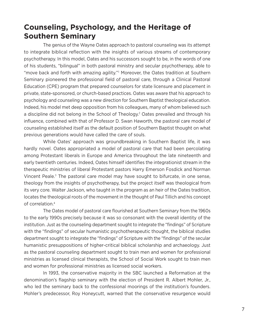## **Counseling, Psychology, and the Heritage of Southern Seminary**

The genius of the Wayne Oates approach to pastoral counseling was its attempt to integrate biblical reflection with the insights of various streams of contemporary psychotherapy. In this model, Oates and his successors sought to be, in the words of one of his students, "bilingual" in both pastoral ministry and secular psychotherapy, able to "move back and forth with amazing agility."<sup>1</sup> Moreover, the Oates tradition at Southern Seminary pioneered the professional field of pastoral care, through a Clinical Pastoral Education (CPE) program that prepared counselors for state licensure and placement in private, state-sponsored, or church-based practices. Oates was aware that his approach to psychology and counseling was a new direction for Southern Baptist theological education. Indeed, his model met deep opposition from his colleagues, many of whom believed such a discipline did not belong in the School of Theology.<sup>2</sup> Oates prevailed and through his influence, combined with that of Professor D. Swan Haworth, the pastoral care model of counseling established itself as the default position of Southern Baptist thought on what previous generations would have called the care of souls.

While Oates' approach was groundbreaking in Southern Baptist life, it was hardly novel. Oates appropriated a model of pastoral care that had been percolating among Protestant liberals in Europe and America throughout the late nineteenth and early twentieth centuries. Indeed, Oates himself identifies the integrationist stream in the therapeutic ministries of liberal Protestant pastors Harry Emerson Fosdick and Norman Vincent Peale.<sup>3</sup> The pastoral care model may have sought to bifurcate, in one sense, theology from the insights of psychotherapy, but the project itself was theological from its very core. Walter Jackson, who taught in the program as an heir of the Oates tradition, locates the theological roots of the movement in the thought of Paul Tillich and his concept of correlation.<sup>4</sup>

The Oates model of pastoral care flourished at Southern Seminary from the 1960s to the early 1990s precisely because it was so consonant with the overall identity of the institution. Just as the counseling department sought to integrate the "findings" of Scripture with the "findings" of secular humanistic psychotherapeutic thought, the biblical studies department sought to integrate the "findings" of Scripture with the "findings" of the secular humanistic presuppositions of higher-critical biblical scholarship and archaeology. Just as the pastoral counseling department sought to train men and women for professional ministries as licensed clinical therapists, the School of Social Work sought to train men and women for professional ministries as licensed social workers.

In 1993, the conservative majority in the SBC launched a Reformation at the denomination's flagship seminary with the election of President R. Albert Mohler, Jr., who led the seminary back to the confessional moorings of the institution's founders. Mohler's predecessor, Roy Honeycutt, warned that the conservative resurgence would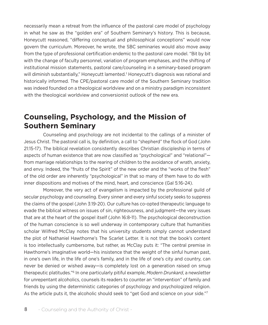necessarily mean a retreat from the influence of the pastoral care model of psychology in what he saw as the "golden era" of Southern Seminary's history. This is because, Honeycutt reasoned, "differing conceptual and philosophical conceptions" would now govern the curriculum. Moreover, he wrote, the SBC seminaries would also move away from the type of professional certification endemic to the pastoral care model. "Bit by bit with the change of faculty personnel, variation of program emphases, and the shifting of institutional mission statements, pastoral care/counseling in a seminary-based program will diminish substantially," Honeycutt lamented.<sup>5</sup> Honeycutt's diagnosis was rational and historically informed. The CPE/pastoral care model of the Southern Seminary tradition was indeed founded on a theological worldview and on a ministry paradigm inconsistent with the theological worldview and conversionist outlook of the new era.

## **Counseling, Psychology, and the Mission of Southern Seminary**

Counseling and psychology are not incidental to the callings of a minister of Jesus Christ. The pastoral call is, by definition, a call to "shepherd" the flock of God (John 21:15-17). The biblical revelation consistently describes Christian discipleship in terms of aspects of human existence that are now classified as "psychological" and "relational"from marriage relationships to the rearing of children to the avoidance of wrath, anxiety, and envy. Indeed, the "fruits of the Spirit" of the new order and the "works of the flesh" of the old order are inherently "psychological" in that so many of them have to do with inner dispositions and motives of the mind, heart, and conscience (Gal 5:16-24).

Moreover, the very act of evangelism is impacted by the professional guild of secular psychology and counseling. Every sinner and every sinful society seeks to suppress the claims of the gospel (John 3:19-20). Our culture has co-opted therapeutic language to evade the biblical witness on issues of sin, righteousness, and judgment—the very issues that are at the heart of the gospel itself (John 16:8-11). The psychological deconstruction of the human conscience is so well underway in contemporary culture that humanities scholar Wilfred McClay notes that his university students simply cannot understand the plot of Nathaniel Hawthorne's The Scarlet Letter. It is not that the book's content is too intellectually cumbersome, but rather, as McClay puts it: "The central premise in Hawthorne's imaginative world—his insistence that the weight of the sinful human past, in one's own life, in the life of one's family, and in the life of one's city and country, can never be denied or wished away—is completely lost on a generation raised on smug therapeutic platitudes."6 In one particularly pitiful example, *Modern Drunkard*, a newsletter for unrepentant alcoholics, counsels its readers to counter an "intervention" of family and friends by using the deterministic categories of psychology and psychologized religion. As the article puts it, the alcoholic should seek to "get God and science on your side."<sup>7</sup>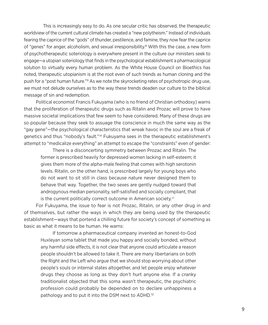This is increasingly easy to do. As one secular critic has observed, the therapeutic worldview of the current cultural climate has created a "new polytheism." Instead of individuals fearing the caprice of the "gods" of thunder, pestilence, and famine, they now fear the caprice of "genes" for anger, alcoholism, and sexual irresponsibility.<sup>8</sup> With this the case, a new form of psychotherapeutic soteriology is everywhere present in the culture our ministers seek to engage—a utopian soteriology that finds in the psychological establishment a pharmacological solution to virtually every human problem. As the White House Council on Bioethics has noted, therapeutic utopianism is at the root even of such trends as human cloning and the push for a "post human future."<sup>9</sup> As we note the skyrocketing rates of psychotropic drug use, we must not delude ourselves as to the way these trends deaden our culture to the biblical message of sin and redemption.

Political economist Francis Fukuyama (who is no friend of Christian orthodoxy) warns that the proliferation of therapeutic drugs such as Ritalin and Prozac will prove to have massive societal implications that few seem to have considered. Many of these drugs are so popular because they seek to assuage the conscience in much the same way as the "gay gene"—the psychological characteristics that wreak havoc in the soul are a freak of genetics and thus "nobody's fault."<sup>10</sup> Fukuyama sees in the therapeutic establishment's attempt to "medicalize everything" an attempt to escape the "constraints" even of gender:

There is a disconcerting symmetry between Prozac and Ritalin. The former is prescribed heavily for depressed women lacking in self-esteem; it gives them more of the alpha-male feeling that comes with high serotonin levels. Ritalin, on the other hand, is prescribed largely for young boys who do not want to sit still in class because nature never designed them to behave that way. Together, the two sexes are gently nudged toward that androgynous median personality, self-satisfied and socially compliant, that is the current politically correct outcome in American society.<sup>11</sup>

For Fukuyama, the issue to fear is not Prozac, Ritalin, or any other drug in and of themselves, but rather the ways in which they are being used by the therapeutic establishment—ways that portend a chilling future for society's concept of something as basic as what it means to be human. He warns:

If tomorrow a pharmaceutical company invented an honest-to-God Huxleyan soma tablet that made you happy and socially bonded, without any harmful side effects, it is not clear that anyone could articulate a reason people shouldn't be allowed to take it. There are many libertarians on both the Right and the Left who argue that we should stop worrying about other people's souls or internal states altogether, and let people enjoy whatever drugs they choose as long as they don't hurt anyone else. If a cranky traditionalist objected that this soma wasn't therapeutic, the psychiatric profession could probably be depended on to declare unhappiness a pathology and to put it into the DSM next to ADHD.12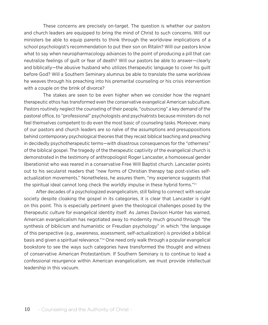These concerns are precisely on-target. The question is whether our pastors and church leaders are equipped to bring the mind of Christ to such concerns. Will our ministers be able to equip parents to think through the worldview implications of a school psychologist's recommendation to put their son on Ritalin? Will our pastors know what to say when neuropharmacology advances to the point of producing a pill that can neutralize feelings of guilt or fear of death? Will our pastors be able to answer—clearly and biblically—the abusive husband who utilizes therapeutic language to cover his guilt before God? Will a Southern Seminary alumnus be able to translate the same worldview he weaves through his preaching into his premarital counseling or his crisis intervention with a couple on the brink of divorce?

The stakes are seen to be even higher when we consider how the regnant therapeutic ethos has transformed even the conservative evangelical American subculture. Pastors routinely neglect the counseling of their people, "outsourcing" a key demand of the pastoral office, to "professional" psychologists and psychiatrists because ministers do not feel themselves competent to do even the most basic of counseling tasks. Moreover, many of our pastors and church leaders are so naïve of the assumptions and presuppositions behind contemporary psychological theories that they recast biblical teaching and preaching in decidedly psychotherapeutic terms—with disastrous consequences for the "otherness" of the biblical gospel. The tragedy of the therapeutic captivity of the evangelical church is demonstrated in the testimony of anthropologist Roger Lancaster, a homosexual gender liberationist who was reared in a conservative Free Will Baptist church. Lancaster points out to his secularist readers that "new forms of Christian therapy tap post-sixties selfactualization movements." Nonetheless, he assures them, "my experience suggests that the spiritual ideal cannot long check the worldly impulse in these hybrid forms."<sup>13</sup>

After decades of a psychologized evangelicalism, still failing to connect with secular society despite cloaking the gospel in its categories, it is clear that Lancaster is right on this point. This is especially pertinent given the theological challenges posed by the therapeutic culture for evangelical identity itself. As James Davison Hunter has warned, American evangelicalism has negotiated away to modernity much ground through "the synthesis of biblicism and humanistic or Freudian psychology" in which "the language of this perspective (e.g., awareness, assessment, self-actualization) is provided a biblical basis and given a spiritual relevance."<sup>14</sup> One need only walk through a popular evangelical bookstore to see the ways such categories have transformed the thought and witness of conservative American Protestantism. If Southern Seminary is to continue to lead a confessional resurgence within American evangelicalism, we must provide intellectual leadership in this vacuum.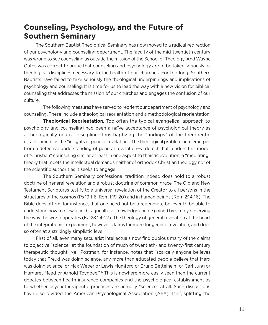## **Counseling, Psychology, and the Future of Southern Seminary**

The Southern Baptist Theological Seminary has now moved to a radical redirection of our psychology and counseling department. The faculty of the mid-twentieth century was wrong to see counseling as outside the mission of the School of Theology. And Wayne Oates was correct to argue that counseling and psychology are to be taken seriously as theological disciplines necessary to the health of our churches. For too long, Southern Baptists have failed to take seriously the theological underpinnings and implications of psychology and counseling. It is time for us to lead the way with a new vision for biblical counseling that addresses the mission of our churches and engages the confusion of our culture.

The following measures have served to reorient our department of psychology and counseling. These include a theological reorientation and a methodological reorientation.

**Theological Reorientation.** Too often the typical evangelical approach to psychology and counseling had been a naïve acceptance of psychological theory as a theologically neutral discipline—thus baptizing the "findings" of the therapeutic establishment as the "insights of general revelation." The theological problem here emerges from a defective understanding of general revelation—a defect that renders this model of "Christian" counseling similar at least in one aspect to theistic evolution, a "mediating" theory that meets the intellectual demands neither of orthodox Christian theology nor of the scientific authorities it seeks to engage.

The Southern Seminary confessional tradition indeed does hold to a robust doctrine of general revelation and a robust doctrine of common grace. The Old and New Testament Scriptures testify to a universal revelation of the Creator to all persons in the structures of the cosmos (Ps 19:1-6; Rom 1:19-20) and in human beings (Rom 2:14-16). The Bible does affirm, for instance, that one need not be a regenerate believer to be able to understand how to plow a field—agricultural knowledge can be gained by simply observing the way the world operates (Isa 28:24-27). The theology of general revelation at the heart of the integrationist experiment, however, claims far more for general revelation, and does so often at a strikingly simplistic level.

First of all, even many secularist intellectuals now find dubious many of the claims to objective "science" at the foundation of much of twentieth- and twenty-first century therapeutic thought. Neil Postman, for instance, notes that "scarcely anyone believes today that Freud was doing science, any more than educated people believe that Marx was doing science, or Max Weber or Lewis Mumford or Bruno Bettelheim or Carl Jung or Margaret Mead or Arnold Toynbee."15 This is nowhere more easily seen than the current debates between health insurance companies and the psychological establishment as to whether psychotherapeutic practices are actually "science" at all. Such discussions have also divided the American Psychological Association (APA) itself, splitting the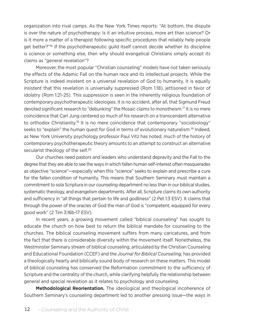organization into rival camps. As the New York Times reports: "At bottom, the dispute is over the nature of psychotherapy: Is it an intuitive process, more art than science? Or is it more a matter of a therapist following specific procedures that reliably help people get better?"16 If the psychotherapeutic guild itself cannot decide whether its discipline is science or something else, then why should evangelical Christians simply accept its claims as "general revelation"?

Moreover, the most popular "Christian counseling" models have not taken seriously the effects of the Adamic Fall on the human race and its intellectual projects. While the Scripture is indeed insistent on a universal revelation of God to humanity, it is equally insistent that this revelation is universally suppressed (Rom 1:18), jettisoned in favor of idolatry (Rom 1:21-25). This suppression is seen in the inherently religious foundation of contemporary psychotherapeutic ideologies. It is no accident, after all, that Sigmund Freud devoted significant research to "debunking" the Mosaic claims to monotheism.17 It is no mere coincidence that Carl Jung centered so much of his research on a transcendent alternative to orthodox Christianity.18 It is no mere coincidence that contemporary "sociobiology" seeks to "explain" the human quest for God in terms of evolutionary naturalism.<sup>19</sup> Indeed, as New York University psychology professor Paul Vitz has noted, much of the history of contemporary psychotherapeutic theory amounts to an attempt to construct an alternative secularist theology of the self.<sup>20</sup>

Our churches need pastors and leaders who understand depravity and the Fall to the degree that they are able to see the ways in which fallen human self-interest often masquerades as objective "science"—especially when this "science" seeks to explain and prescribe a cure for the fallen condition of humanity. This means that Southern Seminary must maintain a commitment to sola Scriptura in our counseling department no less than in our biblical studies, systematic theology, and evangelism departments. After all, Scripture claims its own authority and sufficiency in "all things that pertain to life and godliness" (2 Pet 1:3 ESV). It claims that through the power of the oracles of God the man of God is "competent, equipped for every good work" (2 Tim 3:16b-17 ESV).

In recent years, a growing movement called "biblical counseling" has sought to educate the church on how best to return the biblical mandate for counseling to the churches. The biblical counseling movement suffers from many caricatures, and from the fact that there is considerable diversity within the movement itself. Nonetheless, the Westminster Seminary stream of biblical counseling, articulated by the Christian Counseling and Educational Foundation (CCEF) and the *Journal for Biblical Counseling,* has provided a theologically hearty and biblically sound body of research on these matters. This model of biblical counseling has conserved the Reformation commitment to the sufficiency of Scripture and the centrality of the church, while clarifying helpfully the relationship between general and special revelation as it relates to psychology and counseling.

**Methodological Reorientation.** The ideological and theological incoherence of Southern Seminary's counseling department led to another pressing issue—the ways in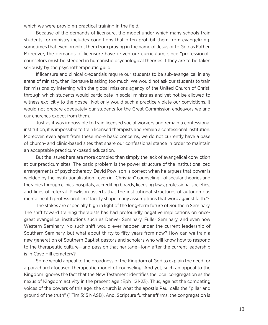which we were providing practical training in the field.

Because of the demands of licensure, the model under which many schools train students for ministry includes conditions that often prohibit them from evangelizing, sometimes that even prohibit them from praying in the name of Jesus or to God as Father. Moreover, the demands of licensure have driven our curriculum, since "professional" counselors must be steeped in humanistic psychological theories if they are to be taken seriously by the psychotherapeutic guild.

If licensure and clinical credentials require our students to be sub-evangelical in any arena of ministry, then licensure is asking too much. We would not ask our students to train for missions by interning with the global missions agency of the United Church of Christ, through which students would participate in social ministries and yet not be allowed to witness explicitly to the gospel. Not only would such a practice violate our convictions, it would not prepare adequately our students for the Great Commission endeavors we and our churches expect from them.

Just as it was impossible to train licensed social workers and remain a confessional institution, it is impossible to train licensed therapists and remain a confessional institution. Moreover, even apart from these more basic concerns, we do not currently have a base of church- and clinic-based sites that share our confessional stance in order to maintain an acceptable practicum-based education.

But the issues here are more complex than simply the lack of evangelical conviction at our practicum sites. The basic problem is the power structure of the institutionalized arrangements of psychotherapy. David Powlison is correct when he argues that power is wielded by the institutionalization—even in "Christian" counseling—of secular theories and therapies through clinics, hospitals, accrediting boards, licensing laws, professional societies, and lines of referral. Powlison asserts that the institutional structures of autonomous mental health professionalism "tacitly shape many assumptions that work against faith."<sup>21</sup>

The stakes are especially high in light of the long-term future of Southern Seminary. The shift toward training therapists has had profoundly negative implications on oncegreat evangelical institutions such as Denver Seminary, Fuller Seminary, and even now Western Seminary. No such shift would ever happen under the current leadership of Southern Seminary, but what about thirty to fifty years from now? How can we train a new generation of Southern Baptist pastors and scholars who will know how to respond to the therapeutic culture—and pass on that heritage—long after the current leadership is in Cave Hill cemetery?

Some would appeal to the broadness of the Kingdom of God to explain the need for a parachurch-focused therapeutic model of counseling. And yet, such an appeal to the Kingdom ignores the fact that the New Testament identifies the local congregation as the nexus of Kingdom activity in the present age (Eph 1:21-23). Thus, against the competing voices of the powers of this age, the church is what the apostle Paul calls the "pillar and ground of the truth" (1 Tim 3:15 NASB). And, Scripture further affirms, the congregation is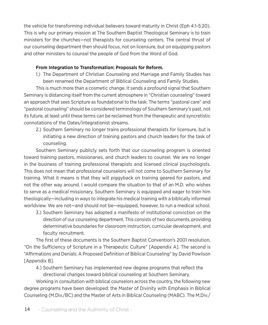the vehicle for transforming individual believers toward maturity in Christ (Eph 4:1-5:20). This is why our primary mission at The Southern Baptist Theological Seminary is to train ministers for the churches—not therapists for counseling centers. The central thrust of our counseling department then should focus, not on licensure, but on equipping pastors and other ministers to counsel the people of God from the Word of God.

#### **From Integration to Transformation: Proposals for Reform.**

1.) The Department of Christian Counseling and Marriage and Family Studies has been renamed the Department of Biblical Counseling and Family Studies.

This is much more than a cosmetic change. It sends a profound signal that Southern Seminary is distancing itself from the current atmosphere in "Christian counseling" toward an approach that sees Scripture as foundational to the task. The terms "pastoral care" and "pastoral counseling" should be considered terminology of Southern Seminary's past, not its future, at least until these terms can be reclaimed from the therapeutic and syncretistic connotations of the Oates/integrationist streams.

2.) Southern Seminary no longer trains professional therapists for licensure, but is initiating a new direction of training pastors and church leaders for the task of counseling.

Southern Seminary publicly sets forth that our counseling program is oriented toward training pastors, missionaries, and church leaders to counsel. We are no longer in the business of training professional therapists and licensed clinical psychologists. This does not mean that professional counselors will not come to Southern Seminary for training. What it means is that they will piggyback on training geared for pastors, and not the other way around. I would compare the situation to that of an M.D. who wishes to serve as a medical missionary. Southern Seminary is equipped and eager to train him theologically—including in ways to integrate his medical training with a biblically informed worldview. We are not—and should not be—equipped, however, to run a medical school.

3.) Southern Seminary has adopted a manifesto of institutional conviction on the direction of our counseling department. This consists of two documents, providing determinative boundaries for classroom instruction, curricular development, and faculty recruitment.

The first of these documents is the Southern Baptist Convention's 2001 resolution, "On the Sufficiency of Scripture in a Therapeutic Culture" [Appendix A]. The second is "Affirmations and Denials: A Proposed Definition of Biblical Counseling" by David Powlison [Appendix B].

4.) Southern Seminary has implemented new degree programs that reflect the directional changes toward biblical counseling at Southern Seminary.

Working in consultation with biblical counselors across the country, the following new degree programs have been developed: the Master of Divinity with Emphasis in Biblical Counseling (M.Div./BC) and the Master of Arts in Biblical Counseling (MABC). The M.Div./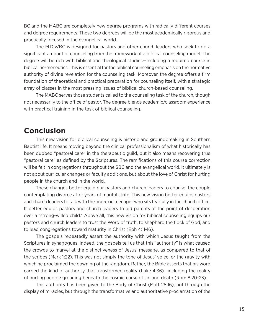BC and the MABC are completely new degree programs with radically different courses and degree requirements. These two degrees will be the most academically rigorous and practically focused in the evangelical world.

The M.Div/BC is designed for pastors and other church leaders who seek to do a significant amount of counseling from the framework of a biblical counseling model. The degree will be rich with biblical and theological studies—including a required course in biblical hermeneutics. This is essential for the biblical counseling emphasis on the normative authority of divine revelation for the counseling task. Moreover, the degree offers a firm foundation of theoretical and practical preparation for counseling itself, with a strategic array of classes in the most pressing issues of biblical church-based counseling.

The MABC serves those students called to the counseling task of the church, though not necessarily to the office of pastor. The degree blends academic/classroom experience with practical training in the task of biblical counseling.

#### **Conclusion**

This new vision for biblical counseling is historic and groundbreaking in Southern Baptist life. It means moving beyond the clinical professionalism of what historically has been dubbed "pastoral care" in the therapeutic guild, but it also means recovering true "pastoral care" as defined by the Scriptures. The ramifications of this course correction will be felt in congregations throughout the SBC and the evangelical world. It ultimately is not about curricular changes or faculty additions, but about the love of Christ for hurting people in the church and in the world.

These changes better equip our pastors and church leaders to counsel the couple contemplating divorce after years of marital strife. This new vision better equips pastors and church leaders to talk with the anorexic teenager who sits tearfully in the church office. It better equips pastors and church leaders to aid parents at the point of desperation over a "strong-willed child." Above all, this new vision for biblical counseling equips our pastors and church leaders to trust the Word of truth, to shepherd the flock of God, and to lead congregations toward maturity in Christ (Eph 4:11-16).

The gospels repeatedly assert the authority with which Jesus taught from the Scriptures in synagogues. Indeed, the gospels tell us that this "authority" is what caused the crowds to marvel at the distinctiveness of Jesus' message, as compared to that of the scribes (Mark 1:22). This was not simply the tone of Jesus' voice, or the gravity with which he proclaimed the dawning of the Kingdom. Rather, the Bible asserts that his word carried the kind of authority that transformed reality (Luke 4:36)—including the reality of hurting people groaning beneath the cosmic curse of sin and death (Rom 8:20-23).

This authority has been given to the Body of Christ (Matt 28:16), not through the display of miracles, but through the transformative and authoritative proclamation of the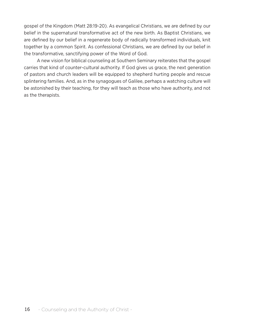gospel of the Kingdom (Matt 28:19-20). As evangelical Christians, we are defined by our belief in the supernatural transformative act of the new birth. As Baptist Christians, we are defined by our belief in a regenerate body of radically transformed individuals, knit together by a common Spirit. As confessional Christians, we are defined by our belief in the transformative, sanctifying power of the Word of God.

 A new vision for biblical counseling at Southern Seminary reiterates that the gospel carries that kind of counter-cultural authority. If God gives us grace, the next generation of pastors and church leaders will be equipped to shepherd hurting people and rescue splintering families. And, as in the synagogues of Galilee, perhaps a watching culture will be astonished by their teaching, for they will teach as those who have authority, and not as the therapists.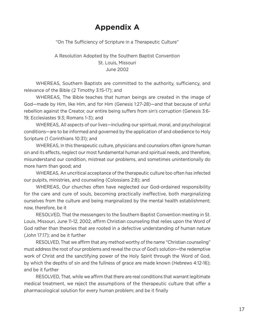## **Appendix A**

"On The Sufficiency of Scripture in a Therapeutic Culture"

A Resolution Adopted by the Southern Baptist Convention St. Louis, Missouri June 2002

WHEREAS, Southern Baptists are committed to the authority, sufficiency, and relevance of the Bible (2 Timothy 3:15-17); and

WHEREAS, The Bible teaches that human beings are created in the image of God—made by Him, like Him, and for Him (Genesis 1:27-28)—and that because of sinful rebellion against the Creator, our entire being suffers from sin's corruption (Genesis 3:6- 19; Ecclesiastes 9:3; Romans 1-3); and

WHEREAS, All aspects of our lives—including our spiritual, moral, and psychological conditions—are to be informed and governed by the application of and obedience to Holy Scripture (1 Corinthians 10:31); and

WHEREAS, In this therapeutic culture, physicians and counselors often ignore human sin and its effects, neglect our most fundamental human and spiritual needs, and therefore, misunderstand our condition, mistreat our problems, and sometimes unintentionally do more harm than good; and

WHEREAS, An uncritical acceptance of the therapeutic culture too often has infected our pulpits, ministries, and counseling (Colossians 2:8); and

WHEREAS, Our churches often have neglected our God-ordained responsibility for the care and cure of souls, becoming practically ineffective, both marginalizing ourselves from the culture and being marginalized by the mental health establishment; now, therefore, be it

RESOLVED, That the messengers to the Southern Baptist Convention meeting in St. Louis, Missouri, June 11-12, 2002, affirm Christian counseling that relies upon the Word of God rather than theories that are rooted in a defective understanding of human nature (John 17:17); and be it further

RESOLVED, That we affirm that any method worthy of the name "Christian counseling" must address the root of our problems and reveal the crux of God's solution—the redemptive work of Christ and the sanctifying power of the Holy Spirit through the Word of God, by which the depths of sin and the fullness of grace are made known (Hebrews 4:12-16); and be it further

RESOLVED, That, while we affirm that there are real conditions that warrant legitimate medical treatment, we reject the assumptions of the therapeutic culture that offer a pharmacological solution for every human problem; and be it finally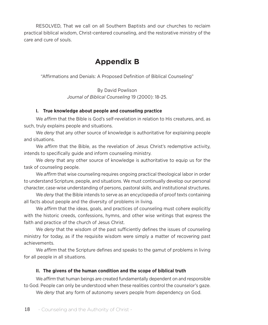RESOLVED, That we call on all Southern Baptists and our churches to reclaim practical biblical wisdom, Christ-centered counseling, and the restorative ministry of the care and cure of souls.

## **Appendix B**

"Affirmations and Denials: A Proposed Definition of Biblical Counseling"

By David Powlison *Journal of Biblical Counseling* 19 (2000): 18-25.

#### **I. True knowledge about people and counseling practice**

We *affirm* that the Bible is God's self-revelation in relation to His creatures, and, as such, truly explains people and situations.

We *deny* that any other source of knowledge is authoritative for explaining people and situations.

We *affirm* that the Bible, as the revelation of Jesus Christ's redemptive activity, intends to specifically guide and inform counseling ministry.

We *deny* that any other source of knowledge is authoritative to equip us for the task of counseling people.

We *affirm* that wise counseling requires ongoing practical theological labor in order to understand Scripture, people, and situations. We must continually develop our personal character, case-wise understanding of persons, pastoral skills, and institutional structures.

We *deny* that the Bible intends to serve as an encyclopedia of proof texts containing all facts about people and the diversity of problems in living.

We *affirm* that the ideas, goals, and practices of counseling must cohere explicitly with the historic creeds, confessions, hymns, and other wise writings that express the faith and practice of the church of Jesus Christ.

We *deny* that the wisdom of the past sufficiently defines the issues of counseling ministry for today, as if the requisite wisdom were simply a matter of recovering past achievements.

We *affirm* that the Scripture defines and speaks to the gamut of problems in living for all people in all situations.

#### **II. The givens of the human condition and the scope of biblical truth**

We *affirm* that human beings are created fundamentally dependent on and responsible to God. People can only be understood when these realities control the counselor's gaze.

We *deny* that any form of autonomy severs people from dependency on God.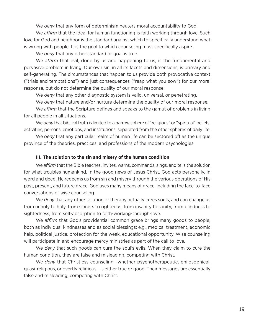We *deny* that any form of determinism neuters moral accountability to God.

We *affirm* that the ideal for human functioning is faith working through love. Such love for God and neighbor is the standard against which to specifically understand what is wrong with people. It is the goal to which counseling must specifically aspire.

We *deny* that any other standard or goal is true.

We *affirm* that evil, done by us and happening to us, is the fundamental and pervasive problem in living. Our own sin, in all its facets and dimensions, is primary and self-generating. The circumstances that happen to us provide both provocative context ("trials and temptations") and just consequences ("reap what you sow") for our moral response, but do not determine the quality of our moral response.

We *deny* that any other diagnostic system is valid, universal, or penetrating.

We *deny* that nature and/or nurture determine the quality of our moral response.

We *affirm* that the Scripture defines and speaks to the gamut of problems in living for all people in all situations.

We *deny* that biblical truth is limited to a narrow sphere of "religious" or "spiritual" beliefs, activities, persons, emotions, and institutions, separated from the other spheres of daily life.

We *deny* that any particular realm of human life can be sectored off as the unique province of the theories, practices, and professions of the modern psychologies.

#### **III. The solution to the sin and misery of the human condition**

We *affirm* that the Bible teaches, invites, warns, commands, sings, and tells the solution for what troubles humankind. In the good news of Jesus Christ, God acts personally. In word and deed, He redeems us from sin and misery through the various operations of His past, present, and future grace. God uses many means of grace, including the face-to-face conversations of wise counseling.

We *deny* that any other solution or therapy actually cures souls, and can change us from unholy to holy, from sinners to righteous, from insanity to sanity, from blindness to sightedness, from self-absorption to faith-working-through-love.

We *affirm* that God's providential common grace brings many goods to people, both as individual kindnesses and as social blessings: e.g., medical treatment, economic help, political justice, protection for the weak, educational opportunity. Wise counseling will participate in and encourage mercy ministries as part of the call to love.

We *deny* that such goods can cure the soul's evils. When they claim to cure the human condition, they are false and misleading, competing with Christ.

We *deny* that Christless counseling—whether psychotherapeutic, philosophical, quasi-religious, or overtly religious—is either true or good. Their messages are essentially false and misleading, competing with Christ.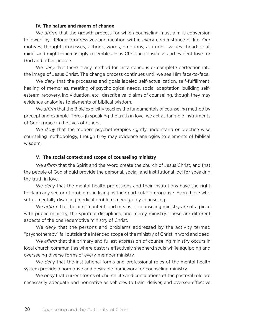#### **IV. The nature and means of change**

We *affirm* that the growth process for which counseling must aim is conversion followed by lifelong progressive sanctification within every circumstance of life. Our motives, thought processes, actions, words, emotions, attitudes, values—heart, soul, mind, and might—increasingly resemble Jesus Christ in conscious and evident love for God and other people.

We *deny* that there is any method for instantaneous or complete perfection into the image of Jesus Christ. The change process continues until we see Him face-to-face.

We *deny* that the processes and goals labeled self-actualization, self-fulfillment, healing of memories, meeting of psychological needs, social adaptation, building selfesteem, recovery, individuation, etc., describe valid aims of counseling, though they may evidence analogies to elements of biblical wisdom.

We *affirm* that the Bible explicitly teaches the fundamentals of counseling method by precept and example. Through speaking the truth in love, we act as tangible instruments of God's grace in the lives of others.

We *deny* that the modern psychotherapies rightly understand or practice wise counseling methodology, though they may evidence analogies to elements of biblical wisdom.

#### **V. The social context and scope of counseling ministry**

We *affirm* that the Spirit and the Word create the church of Jesus Christ, and that the people of God should provide the personal, social, and institutional loci for speaking the truth in love.

We *deny* that the mental health professions and their institutions have the right to claim any sector of problems in living as their particular prerogative. Even those who suffer mentally disabling medical problems need godly counseling.

We *affirm* that the aims, content, and means of counseling ministry are of a piece with public ministry, the spiritual disciplines, and mercy ministry. These are different aspects of the one redemptive ministry of Christ.

We *deny* that the persons and problems addressed by the activity termed "psychotherapy" fall outside the intended scope of the ministry of Christ in word and deed.

We *affirm* that the primary and fullest expression of counseling ministry occurs in local church communities where pastors effectively shepherd souls while equipping and overseeing diverse forms of every-member ministry.

We *deny* that the institutional forms and professional roles of the mental health system provide a normative and desirable framework for counseling ministry.

We *deny* that current forms of church life and conceptions of the pastoral role are necessarily adequate and normative as vehicles to train, deliver, and oversee effective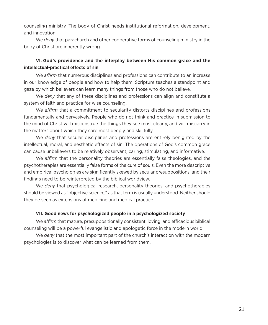counseling ministry. The body of Christ needs institutional reformation, development, and innovation.

We *deny* that parachurch and other cooperative forms of counseling ministry in the body of Christ are inherently wrong.

#### **VI. God's providence and the interplay between His common grace and the intellectual-practical effects of sin**

We *affirm* that numerous disciplines and professions can contribute to an increase in our knowledge of people and how to help them. Scripture teaches a standpoint and gaze by which believers can learn many things from those who do not believe.

We *deny* that any of these disciplines and professions can align and constitute a system of faith and practice for wise counseling.

We *affirm* that a commitment to secularity distorts disciplines and professions fundamentally and pervasively. People who do not think and practice in submission to the mind of Christ will misconstrue the things they see most clearly, and will miscarry in the matters about which they care most deeply and skillfully.

We *deny* that secular disciplines and professions are entirely benighted by the intellectual, moral, and aesthetic effects of sin. The operations of God's common grace can cause unbelievers to be relatively observant, caring, stimulating, and informative.

We *affirm* that the personality theories are essentially false theologies, and the psychotherapies are essentially false forms of the cure of souls. Even the more descriptive and empirical psychologies are significantly skewed by secular presuppositions, and their findings need to be reinterpreted by the biblical worldview.

We *deny* that psychological research, personality theories, and psychotherapies should be viewed as "objective science," as that term is usually understood. Neither should they be seen as extensions of medicine and medical practice.

#### **VII. Good news for psychologized people in a psychologized society**

We *affirm* that mature, presuppositionally consistent, loving, and efficacious biblical counseling will be a powerful evangelistic and apologetic force in the modern world.

We *deny* that the most important part of the church's interaction with the modern psychologies is to discover what can be learned from them.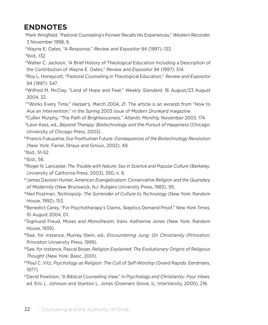## **ENDNOTES**

 1Mark Wingfield, "Pastoral Counseling's Pioneer Recalls His Experiences," *Western Recorder,* 3 November 1998, 6.

2Wayne E. Oates, "A Response," *Review and Expositor* 94 (1997): 133.

3Ibid., 132.

 4Walter C. Jackson, "A Brief History of Theological Education Including a Description of the Contribution of Wayne E. Oates," *Review and Expositor* 94 (1997): 514.

 5Roy L. Honeycutt, "Pastoral Counseling in Theological Education," *Review and Expositor* 94 (1997): 547.

 6Wilfred M. McClay, "Land of Hope and Fear," *Weekly Standard,* 16 August/23 August 2004, 32.

 7"Works Every Time," *Harper's,* March 2004, 21. The article is an excerpt from "How to Ace an Intervention," in the Spring 2003 issue of *Modern Drunkard* magazine.

8Cullen Murphy, "The Path of Brighteousness," *Atlantic Monthly,* November 2003, 174.

 9Leon Kass, ed., *Beyond Therapy: Biotechnology and the Pursuit of Happiness* (Chicago: University of Chicago Press, 2003).

10Francis Fukuyama, Our Posthuman Future: *Consequences of the Biotechnology Revolution* (New York: Farrar, Straus and Giroux, 2002), 49.

11Ibid., 51-52.

12Ibid., 56.

<sup>13</sup> Roger N. Lancaster, *The Trouble with Nature: Sex in Science and Popular Culture* (Berkeley: University of California Press, 2003), 350, n. 8.

14James Davison Hunter, *American Evangelicalism: Conservative Religion and the Quandary of Modernity* (New Brunswick, NJ: Rutgers University Press, 1983), 95.

15Neil Postman, *Technopoly: The Surrender of Culture to Technology* (New York: Random House, 1992), 153.

16Benedict Carey, "For Psychotherapy's Claims, Skeptics Demand Proof," *New York Times,* 10 August 2004, D1.

17Sigmund Freud, *Moses and Monotheism,* trans. Katherine Jones (New York: Random House, 1939).

18See, for instance, Murray Stein, ed., *Encountering Jung: On Christianity* (Princeton: Princeton University Press, 1999).

19See, for instance, Pascal Boyer, *Religion Explained: The Evolutionary Origins of Religious Thought* (New York: Basic, 2001).

20Paul C. Vitz, *Psychology as Religion: The Cult of Self-Worship* (Grand Rapids: Eerdmans, 1977).

21David Powlison, "A Biblical Counseling View," in *Psychology and Christianity: Four Views,*  ed. Eric L. Johnson and Stanton L. Jones (Downers Grove, IL: InterVarsity, 2000), 216.